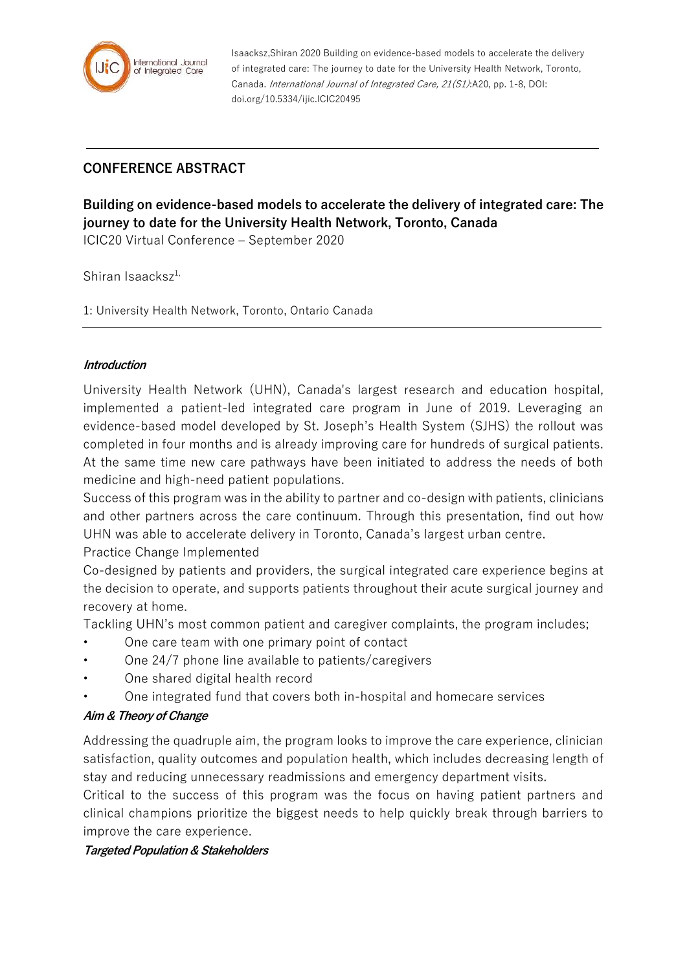

Isaacksz,Shiran 2020 Building on evidence-based models to accelerate the delivery of integrated care: The journey to date for the University Health Network, Toronto, Canada. International Journal of Integrated Care, 21(S1):A20, pp. 1-8, DOI: doi.org/10.5334/ijic.ICIC20495

# **CONFERENCE ABSTRACT**

**Building on evidence-based models to accelerate the delivery of integrated care: The journey to date for the University Health Network, Toronto, Canada**

ICIC20 Virtual Conference – September 2020

Shiran Isaacks $z^{1}$ ,

1: University Health Network, Toronto, Ontario Canada

#### **Introduction**

University Health Network (UHN), Canada's largest research and education hospital, implemented a patient-led integrated care program in June of 2019. Leveraging an evidence-based model developed by St. Joseph's Health System (SJHS) the rollout was completed in four months and is already improving care for hundreds of surgical patients. At the same time new care pathways have been initiated to address the needs of both medicine and high-need patient populations.

Success of this program was in the ability to partner and co-design with patients, clinicians and other partners across the care continuum. Through this presentation, find out how UHN was able to accelerate delivery in Toronto, Canada's largest urban centre.

Practice Change Implemented

Co-designed by patients and providers, the surgical integrated care experience begins at the decision to operate, and supports patients throughout their acute surgical journey and recovery at home.

Tackling UHN's most common patient and caregiver complaints, the program includes;

- One care team with one primary point of contact
- One 24/7 phone line available to patients/caregivers
- One shared digital health record
- One integrated fund that covers both in-hospital and homecare services

#### **Aim & Theory of Change**

Addressing the quadruple aim, the program looks to improve the care experience, clinician satisfaction, quality outcomes and population health, which includes decreasing length of stay and reducing unnecessary readmissions and emergency department visits.

Critical to the success of this program was the focus on having patient partners and clinical champions prioritize the biggest needs to help quickly break through barriers to improve the care experience.

#### **Targeted Population & Stakeholders**